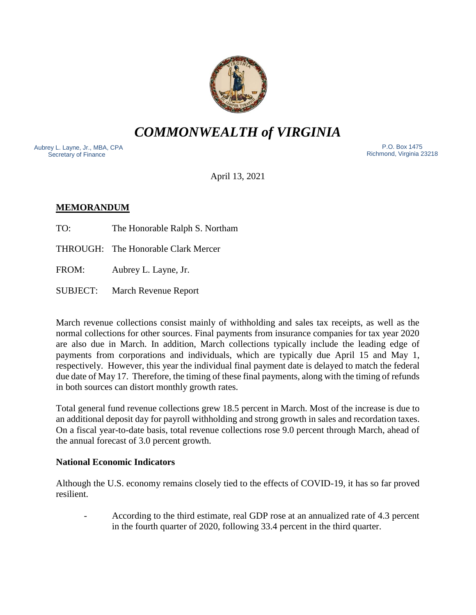

*COMMONWEALTH of VIRGINIA*

Aubrey L. Layne, Jr., MBA, CPA Secretary of Finance

 P.O. Box 1475 Richmond, Virginia 23218

April 13, 2021

# **MEMORANDUM**

TO: The Honorable Ralph S. Northam

THROUGH: The Honorable Clark Mercer

FROM: Aubrey L. Layne, Jr.

SUBJECT: March Revenue Report

March revenue collections consist mainly of withholding and sales tax receipts, as well as the normal collections for other sources. Final payments from insurance companies for tax year 2020 are also due in March. In addition, March collections typically include the leading edge of payments from corporations and individuals, which are typically due April 15 and May 1, respectively. However, this year the individual final payment date is delayed to match the federal due date of May 17. Therefore, the timing of these final payments, along with the timing of refunds in both sources can distort monthly growth rates.

Total general fund revenue collections grew 18.5 percent in March. Most of the increase is due to an additional deposit day for payroll withholding and strong growth in sales and recordation taxes. On a fiscal year-to-date basis, total revenue collections rose 9.0 percent through March, ahead of the annual forecast of 3.0 percent growth.

## **National Economic Indicators**

Although the U.S. economy remains closely tied to the effects of COVID-19, it has so far proved resilient.

- According to the third estimate, real GDP rose at an annualized rate of 4.3 percent in the fourth quarter of 2020, following 33.4 percent in the third quarter.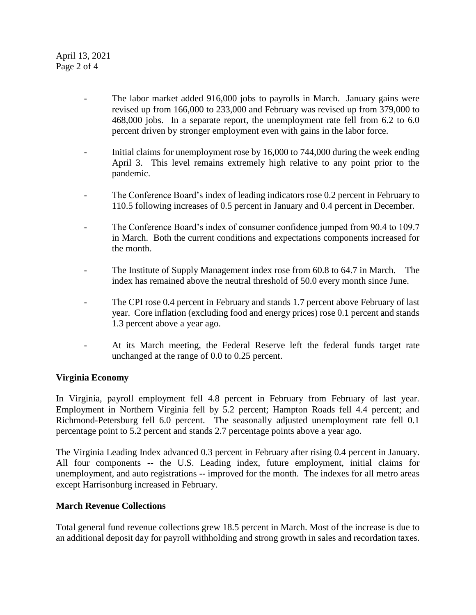- The labor market added 916,000 jobs to payrolls in March. January gains were revised up from 166,000 to 233,000 and February was revised up from 379,000 to 468,000 jobs. In a separate report, the unemployment rate fell from 6.2 to 6.0 percent driven by stronger employment even with gains in the labor force.
- Initial claims for unemployment rose by 16,000 to 744,000 during the week ending April 3. This level remains extremely high relative to any point prior to the pandemic.
- The Conference Board's index of leading indicators rose 0.2 percent in February to 110.5 following increases of 0.5 percent in January and 0.4 percent in December.
- The Conference Board's index of consumer confidence jumped from 90.4 to 109.7 in March. Both the current conditions and expectations components increased for the month.
- The Institute of Supply Management index rose from 60.8 to 64.7 in March. The index has remained above the neutral threshold of 50.0 every month since June.
- The CPI rose 0.4 percent in February and stands 1.7 percent above February of last year. Core inflation (excluding food and energy prices) rose 0.1 percent and stands 1.3 percent above a year ago.
- At its March meeting, the Federal Reserve left the federal funds target rate unchanged at the range of 0.0 to 0.25 percent.

## **Virginia Economy**

In Virginia, payroll employment fell 4.8 percent in February from February of last year. Employment in Northern Virginia fell by 5.2 percent; Hampton Roads fell 4.4 percent; and Richmond-Petersburg fell 6.0 percent. The seasonally adjusted unemployment rate fell 0.1 percentage point to 5.2 percent and stands 2.7 percentage points above a year ago.

The Virginia Leading Index advanced 0.3 percent in February after rising 0.4 percent in January. All four components -- the U.S. Leading index, future employment, initial claims for unemployment, and auto registrations -- improved for the month. The indexes for all metro areas except Harrisonburg increased in February.

## **March Revenue Collections**

Total general fund revenue collections grew 18.5 percent in March. Most of the increase is due to an additional deposit day for payroll withholding and strong growth in sales and recordation taxes.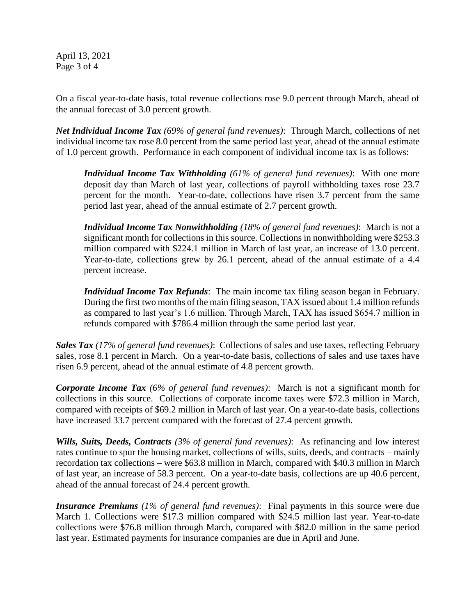April 13, 2021 Page 3 of 4

On a fiscal year-to-date basis, total revenue collections rose 9.0 percent through March, ahead of the annual forecast of 3.0 percent growth.

*Net Individual Income Tax (69% of general fund revenues)*: Through March, collections of net individual income tax rose 8.0 percent from the same period last year, ahead of the annual estimate of 1.0 percent growth. Performance in each component of individual income tax is as follows:

*Individual Income Tax Withholding (61% of general fund revenues)*: With one more deposit day than March of last year, collections of payroll withholding taxes rose 23.7 percent for the month. Year-to-date, collections have risen 3.7 percent from the same period last year, ahead of the annual estimate of 2.7 percent growth.

*Individual Income Tax Nonwithholding (18% of general fund revenues)*: March is not a significant month for collections in this source. Collections in nonwithholding were \$253.3 million compared with \$224.1 million in March of last year, an increase of 13.0 percent. Year-to-date, collections grew by 26.1 percent, ahead of the annual estimate of a 4.4 percent increase.

*Individual Income Tax Refunds*: The main income tax filing season began in February. During the first two months of the main filing season, TAX issued about 1.4 million refunds as compared to last year's 1.6 million. Through March, TAX has issued \$654.7 million in refunds compared with \$786.4 million through the same period last year.

*Sales Tax (17% of general fund revenues)*: Collections of sales and use taxes, reflecting February sales, rose 8.1 percent in March. On a year-to-date basis, collections of sales and use taxes have risen 6.9 percent, ahead of the annual estimate of 4.8 percent growth.

*Corporate Income Tax (6% of general fund revenues)*: March is not a significant month for collections in this source. Collections of corporate income taxes were \$72.3 million in March, compared with receipts of \$69.2 million in March of last year. On a year-to-date basis, collections have increased 33.7 percent compared with the forecast of 27.4 percent growth.

*Wills, Suits, Deeds, Contracts (3% of general fund revenues)*: As refinancing and low interest rates continue to spur the housing market, collections of wills, suits, deeds, and contracts – mainly recordation tax collections – were \$63.8 million in March, compared with \$40.3 million in March of last year, an increase of 58.3 percent. On a year-to-date basis, collections are up 40.6 percent, ahead of the annual forecast of 24.4 percent growth.

*Insurance Premiums (1% of general fund revenues)*: Final payments in this source were due March 1. Collections were \$17.3 million compared with \$24.5 million last year. Year-to-date collections were \$76.8 million through March, compared with \$82.0 million in the same period last year. Estimated payments for insurance companies are due in April and June.